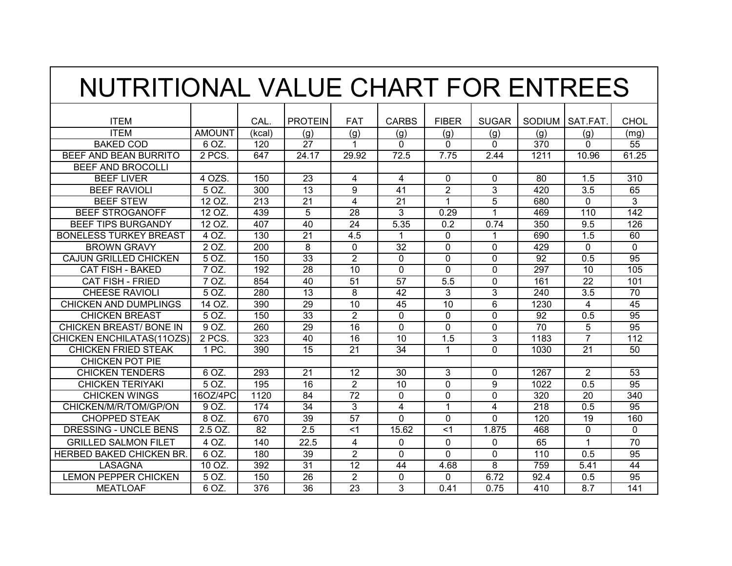| NUTRITIONAL VALUE CHART FOR ENTREES |                  |        |                 |                 |                 |                |              |                 |                |                 |
|-------------------------------------|------------------|--------|-----------------|-----------------|-----------------|----------------|--------------|-----------------|----------------|-----------------|
| <b>ITEM</b>                         |                  | CAL.   | <b>PROTEIN</b>  | FAT             | <b>CARBS</b>    | <b>FIBER</b>   | <b>SUGAR</b> | SODIUM          | SAT.FAT        | <b>CHOL</b>     |
| <b>ITEM</b>                         | <b>AMOUNT</b>    | (kcal) | (g)             | (g)             | (g)             | (g)            | (g)          | (g)             | (g)            | (ma)            |
| <b>BAKED COD</b>                    | 6 OZ.            | 120    | 27              |                 | 0               | 0              | 0            | 370             | $\Omega$       | 55              |
| BEEF AND BEAN BURRITO               | 2 PCS            | 647    | 24.17           | 29.92           | 72.5            | 7.75           | 2.44         | 1211            | 10.96          | 61.25           |
| <b>BEEF AND BROCOLLI</b>            |                  |        |                 |                 |                 |                |              |                 |                |                 |
| <b>BEEF LIVER</b>                   | 4 OZS            | 150    | 23              | 4               | 4               | $\Omega$       | $\Omega$     | 80              | 1.5            | 310             |
| <b>BEEF RAVIOLI</b>                 | 5 OZ.            | 300    | $\overline{13}$ | 9               | 41              | $\overline{2}$ | 3            | 420             | 3.5            | 65              |
| <b>BEEF STEW</b>                    | 12 OZ.           | 213    | 21              | 4               | 21              | 1              | 5            | 680             | 0              | 3               |
| <b>BEEF STROGANOFF</b>              | 12 <sub>OZ</sub> | 439    | 5               | 28              | 3               | 0.29           | 1            | 469             | 110            | 142             |
| <b>BEEF TIPS BURGANDY</b>           | 12 <sub>OZ</sub> | 407    | 40              | 24              | 5.35            | 0.2            | 0.74         | 350             | 9.5            | 126             |
| <b>BONELESS TURKEY BREAST</b>       | 4 OZ.            | 130    | 21              | 4.5             | 1               | $\Omega$       | 1            | 690             | 1.5            | 60              |
| <b>BROWN GRAVY</b>                  | 2 OZ.            | 200    | 8               | $\Omega$        | $\overline{32}$ | 0              | $\Omega$     | 429             | 0              | $\Omega$        |
| <b>CAJUN GRILLED CHICKEN</b>        | 5 OZ             | 150    | $\overline{33}$ | $\overline{2}$  | $\Omega$        | $\Omega$       | $\Omega$     | 92              | 0.5            | $\overline{95}$ |
| <b>CAT FISH - BAKED</b>             | 7 OZ             | 192    | 28              | 10              | $\Omega$        | $\Omega$       | $\Omega$     | 297             | 10             | 105             |
| <b>CAT FISH - FRIED</b>             | 7 OZ             | 854    | 40              | 51              | 57              | 5.5            | $\Omega$     | 161             | 22             | 101             |
| <b>CHEESE RAVIOLI</b>               | 5 <sub>OZ</sub>  | 280    | 13              | 8               | 42              | 3              | 3            | 240             | 3.5            | 70              |
| <b>CHICKEN AND DUMPLINGS</b>        | 14 OZ            | 390    | 29              | 10              | 45              | 10             | 6            | 1230            | 4              | 45              |
| <b>CHICKEN BREAST</b>               | 5 OZ.            | 150    | 33              | $\overline{2}$  | $\Omega$        | $\Omega$       | $\Omega$     | 92              | 0.5            | 95              |
| <b>CHICKEN BREAST/ BONE IN</b>      | 9 OZ.            | 260    | 29              | 16              | $\Omega$        | 0              | $\Omega$     | $\overline{70}$ | 5              | $\overline{95}$ |
| <b>CHICKEN ENCHILATAS(11OZS)</b>    | 2 PCS            | 323    | $\overline{40}$ | 16              | 10              | 1.5            | 3            | 1183            | $\overline{7}$ | 112             |
| <b>CHICKEN FRIED STEAK</b>          | 1 PC             | 390    | $\overline{15}$ | 21              | 34              |                | $\Omega$     | 1030            | 21             | 50              |
| <b>CHICKEN POT PIE</b>              |                  |        |                 |                 |                 |                |              |                 |                |                 |
| <b>CHICKEN TENDERS</b>              | 6 OZ.            | 293    | 21              | 12              | 30              | 3              | $\Omega$     | 1267            | $\overline{2}$ | 53              |
| <b>CHICKEN TERIYAKI</b>             | 5 <sub>OZ</sub>  | 195    | 16              | $\overline{2}$  | 10              | $\Omega$       | 9            | 1022            | 0.5            | 95              |
| <b>CHICKEN WINGS</b>                | 16OZ/4PC         | 1120   | 84              | 72              | 0               | $\Omega$       | $\Omega$     | 320             | 20             | 340             |
| CHICKEN/M/R/TOM/GP/ON               | 9 OZ.            | 174    | $\overline{34}$ | 3               | 4               | 1              | 4            | 218             | 0.5            | 95              |
| <b>CHOPPED STEAK</b>                | 8 OZ.            | 670    | $\overline{39}$ | $\overline{57}$ | 0               | $\Omega$       | $\Omega$     | 120             | 19             | 160             |
| <b>DRESSING - UNCLE BENS</b>        | $2.5$ OZ         | 82     | 2.5             | $<$ 1           | 15.62           | $<$ 1          | 1.875        | 468             | $\Omega$       | $\Omega$        |
| <b>GRILLED SALMON FILET</b>         | 4 OZ.            | 140    | 22.5            | 4               | 0               | $\Omega$       | $\Omega$     | 65              | 1              | 70              |
| <b>HERBED BAKED CHICKEN BR</b>      | $6$ OZ.          | 180    | 39              | $\overline{2}$  | $\Omega$        | 0              | $\Omega$     | 110             | 0.5            | 95              |
| <b>LASAGNA</b>                      | 10 OZ.           | 392    | 31              | 12              | 44              | 4.68           | 8            | 759             | 5.41           | $\overline{44}$ |
| <b>LEMON PEPPER CHICKEN</b>         | 5 OZ             | 150    | 26              | $\overline{2}$  | $\Omega$        | 0              | 6.72         | 92.4            | 0.5            | $\overline{95}$ |
| <b>MEATLOAF</b>                     | 6 OZ.            | 376    | 36              | 23              | 3               | 0.41           | 0.75         | 410             | 8.7            | 141             |